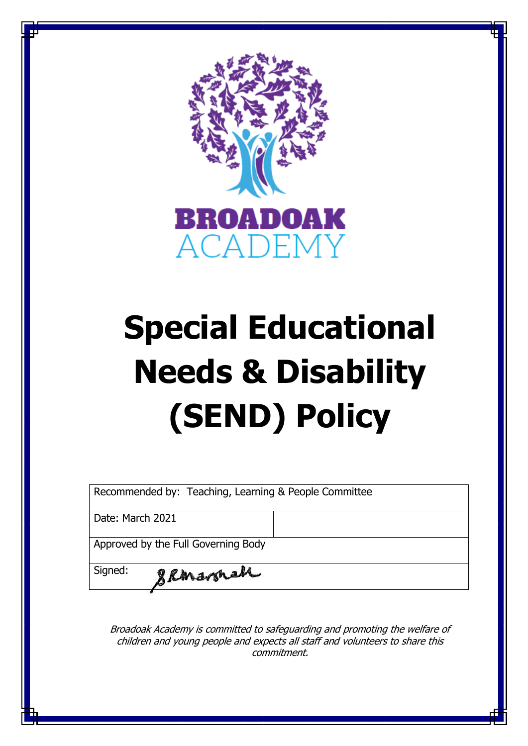

# **Special Educational Needs & Disability (SEND) Policy**

Recommended by: Teaching, Learning & People Committee

Date: March 2021

Approved by the Full Governing Body

gRanavonah

Signed:

Broadoak Academy is committed to safeguarding and promoting the welfare of children and young people and expects all staff and volunteers to share this commitment.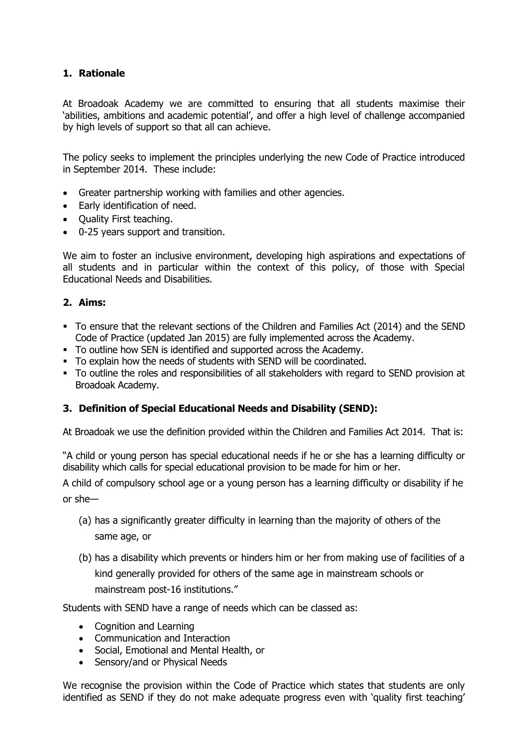### **1. Rationale**

At Broadoak Academy we are committed to ensuring that all students maximise their 'abilities, ambitions and academic potential', and offer a high level of challenge accompanied by high levels of support so that all can achieve.

The policy seeks to implement the principles underlying the new Code of Practice introduced in September 2014. These include:

- Greater partnership working with families and other agencies.
- Early identification of need.
- Quality First teaching.
- 0-25 years support and transition.

We aim to foster an inclusive environment, developing high aspirations and expectations of all students and in particular within the context of this policy, of those with Special Educational Needs and Disabilities.

#### **2. Aims:**

- To ensure that the relevant sections of the Children and Families Act (2014) and the SEND Code of Practice (updated Jan 2015) are fully implemented across the Academy.
- To outline how SEN is identified and supported across the Academy.
- To explain how the needs of students with SEND will be coordinated.
- To outline the roles and responsibilities of all stakeholders with regard to SEND provision at Broadoak Academy.

### **3. Definition of Special Educational Needs and Disability (SEND):**

At Broadoak we use the definition provided within the Children and Families Act 2014. That is:

"A child or young person has special educational needs if he or she has a learning difficulty or disability which calls for special educational provision to be made for him or her.

A child of compulsory school age or a young person has a learning difficulty or disability if he or she—

- (a) has a significantly greater difficulty in learning than the majority of others of the same age, or
- (b) has a disability which prevents or hinders him or her from making use of facilities of a kind generally provided for others of the same age in mainstream schools or mainstream post-16 institutions."

Students with SEND have a range of needs which can be classed as:

- Cognition and Learning
- Communication and Interaction
- Social, Emotional and Mental Health, or
- Sensory/and or Physical Needs

We recognise the provision within the Code of Practice which states that students are only identified as SEND if they do not make adequate progress even with 'quality first teaching'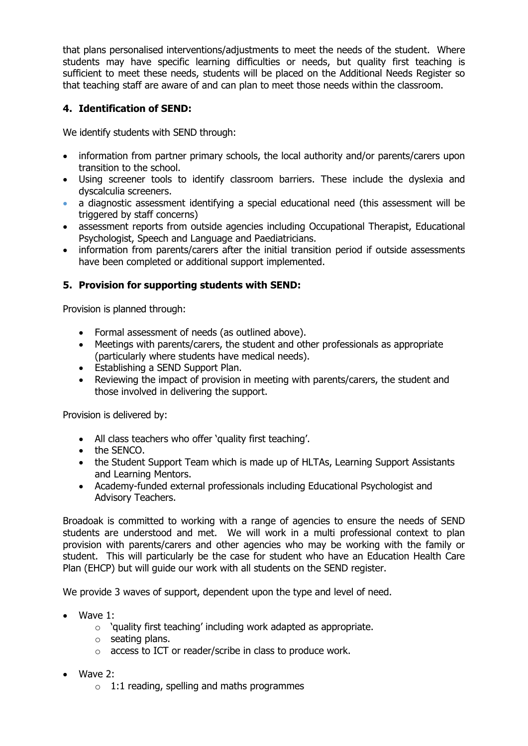that plans personalised interventions/adjustments to meet the needs of the student. Where students may have specific learning difficulties or needs, but quality first teaching is sufficient to meet these needs, students will be placed on the Additional Needs Register so that teaching staff are aware of and can plan to meet those needs within the classroom.

## **4. Identification of SEND:**

We identify students with SEND through:

- information from partner primary schools, the local authority and/or parents/carers upon transition to the school.
- Using screener tools to identify classroom barriers. These include the dyslexia and dyscalculia screeners.
- a diagnostic assessment identifying a special educational need (this assessment will be triggered by staff concerns)
- assessment reports from outside agencies including Occupational Therapist, Educational Psychologist, Speech and Language and Paediatricians.
- information from parents/carers after the initial transition period if outside assessments have been completed or additional support implemented.

## **5. Provision for supporting students with SEND:**

Provision is planned through:

- Formal assessment of needs (as outlined above).
- Meetings with parents/carers, the student and other professionals as appropriate (particularly where students have medical needs).
- Establishing a SEND Support Plan.
- Reviewing the impact of provision in meeting with parents/carers, the student and those involved in delivering the support.

Provision is delivered by:

- All class teachers who offer 'quality first teaching'.
- the SENCO.
- the Student Support Team which is made up of HLTAs, Learning Support Assistants and Learning Mentors.
- Academy-funded external professionals including Educational Psychologist and Advisory Teachers.

Broadoak is committed to working with a range of agencies to ensure the needs of SEND students are understood and met. We will work in a multi professional context to plan provision with parents/carers and other agencies who may be working with the family or student. This will particularly be the case for student who have an Education Health Care Plan (EHCP) but will guide our work with all students on the SEND register.

We provide 3 waves of support, dependent upon the type and level of need.

- Wave 1:
	- o 'quality first teaching' including work adapted as appropriate.
	- o seating plans.
	- o access to ICT or reader/scribe in class to produce work.
- Wave 2:
	- $\circ$  1:1 reading, spelling and maths programmes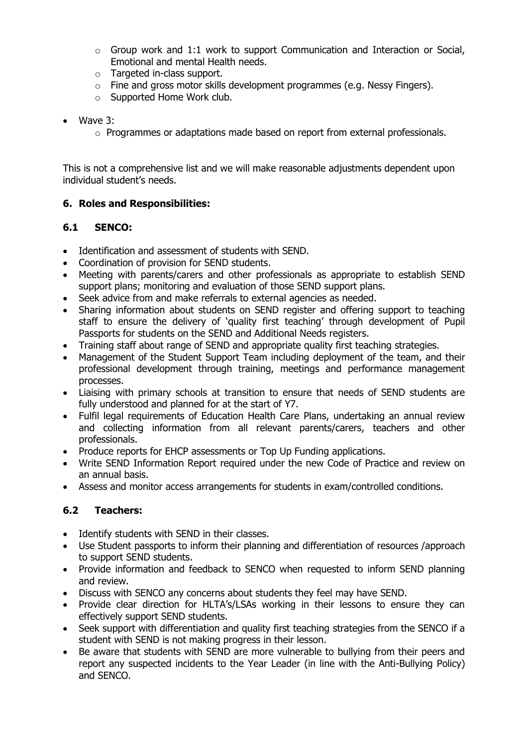- $\circ$  Group work and 1:1 work to support Communication and Interaction or Social, Emotional and mental Health needs.
- o Targeted in-class support.
- o Fine and gross motor skills development programmes (e.g. Nessy Fingers).
- o Supported Home Work club.
- Wave 3:
	- $\circ$  Programmes or adaptations made based on report from external professionals.

This is not a comprehensive list and we will make reasonable adjustments dependent upon individual student's needs.

### **6. Roles and Responsibilities:**

## **6.1 SENCO:**

- Identification and assessment of students with SEND.
- Coordination of provision for SEND students.
- Meeting with parents/carers and other professionals as appropriate to establish SEND support plans; monitoring and evaluation of those SEND support plans.
- Seek advice from and make referrals to external agencies as needed.
- Sharing information about students on SEND register and offering support to teaching staff to ensure the delivery of 'quality first teaching' through development of Pupil Passports for students on the SEND and Additional Needs registers.
- Training staff about range of SEND and appropriate quality first teaching strategies.
- Management of the Student Support Team including deployment of the team, and their professional development through training, meetings and performance management processes.
- Liaising with primary schools at transition to ensure that needs of SEND students are fully understood and planned for at the start of Y7.
- Fulfil legal requirements of Education Health Care Plans, undertaking an annual review and collecting information from all relevant parents/carers, teachers and other professionals.
- Produce reports for EHCP assessments or Top Up Funding applications.
- Write SEND Information Report required under the new Code of Practice and review on an annual basis.
- Assess and monitor access arrangements for students in exam/controlled conditions.

### **6.2 Teachers:**

- Identify students with SEND in their classes.
- Use Student passports to inform their planning and differentiation of resources /approach to support SEND students.
- Provide information and feedback to SENCO when requested to inform SEND planning and review.
- Discuss with SENCO any concerns about students they feel may have SEND.
- Provide clear direction for HLTA's/LSAs working in their lessons to ensure they can effectively support SEND students.
- Seek support with differentiation and quality first teaching strategies from the SENCO if a student with SEND is not making progress in their lesson.
- Be aware that students with SEND are more vulnerable to bullying from their peers and report any suspected incidents to the Year Leader (in line with the Anti-Bullying Policy) and SENCO.